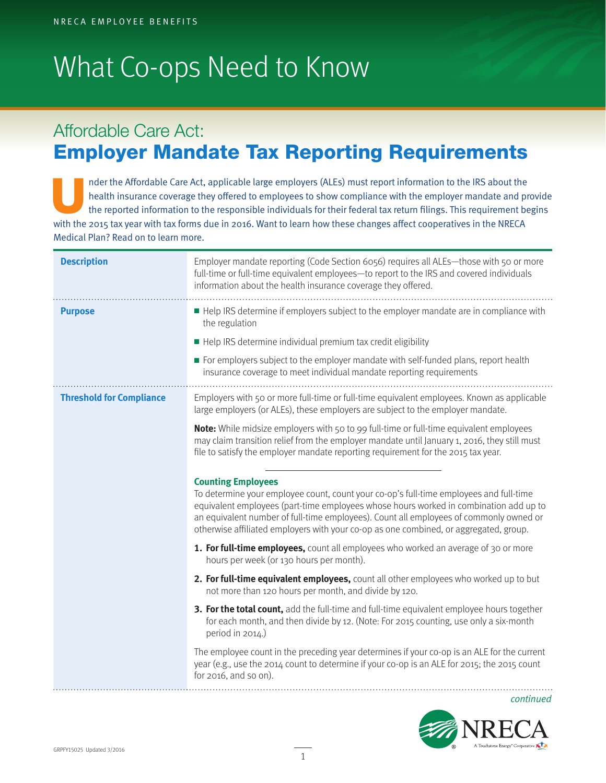## What Co-ops Need to Know

## Affordable Care Act: Employer Mandate Tax Reporting Requirements

nder the Affordable Care Act, applicable large employers (ALEs) must report information to the IRS about the<br>health insurance coverage they offered to employees to show compliance with the employer mandate and provide<br>the health insurance coverage they offered to employees to show compliance with the employer mandate and provide with the 2015 tax year with tax forms due in 2016. Want to learn how these changes affect cooperatives in the NRECA Medical Plan? Read on to learn more.

| <b>Description</b>              | Employer mandate reporting (Code Section 6056) requires all ALEs-those with 50 or more<br>full-time or full-time equivalent employees-to report to the IRS and covered individuals<br>information about the health insurance coverage they offered.                                                                                                                                             |
|---------------------------------|-------------------------------------------------------------------------------------------------------------------------------------------------------------------------------------------------------------------------------------------------------------------------------------------------------------------------------------------------------------------------------------------------|
| <b>Purpose</b>                  | Help IRS determine if employers subject to the employer mandate are in compliance with<br>the regulation                                                                                                                                                                                                                                                                                        |
|                                 | Help IRS determine individual premium tax credit eligibility                                                                                                                                                                                                                                                                                                                                    |
|                                 | For employers subject to the employer mandate with self-funded plans, report health<br>insurance coverage to meet individual mandate reporting requirements                                                                                                                                                                                                                                     |
| <b>Threshold for Compliance</b> | Employers with 50 or more full-time or full-time equivalent employees. Known as applicable<br>large employers (or ALEs), these employers are subject to the employer mandate.                                                                                                                                                                                                                   |
|                                 | <b>Note:</b> While midsize employers with 50 to 99 full-time or full-time equivalent employees<br>may claim transition relief from the employer mandate until January 1, 2016, they still must<br>file to satisfy the employer mandate reporting requirement for the 2015 tax year.                                                                                                             |
|                                 | <b>Counting Employees</b><br>To determine your employee count, count your co-op's full-time employees and full-time<br>equivalent employees (part-time employees whose hours worked in combination add up to<br>an equivalent number of full-time employees). Count all employees of commonly owned or<br>otherwise affiliated employers with your co-op as one combined, or aggregated, group. |
|                                 | 1. For full-time employees, count all employees who worked an average of 30 or more<br>hours per week (or 130 hours per month).                                                                                                                                                                                                                                                                 |
|                                 | 2. For full-time equivalent employees, count all other employees who worked up to but<br>not more than 120 hours per month, and divide by 120.                                                                                                                                                                                                                                                  |
|                                 | 3. For the total count, add the full-time and full-time equivalent employee hours together<br>for each month, and then divide by 12. (Note: For 2015 counting, use only a six-month<br>period in 2014.)                                                                                                                                                                                         |
|                                 | The employee count in the preceding year determines if your co-op is an ALE for the current<br>year (e.g., use the 2014 count to determine if your co-op is an ALE for 2015; the 2015 count<br>for 2016, and so on).                                                                                                                                                                            |
|                                 | continued                                                                                                                                                                                                                                                                                                                                                                                       |